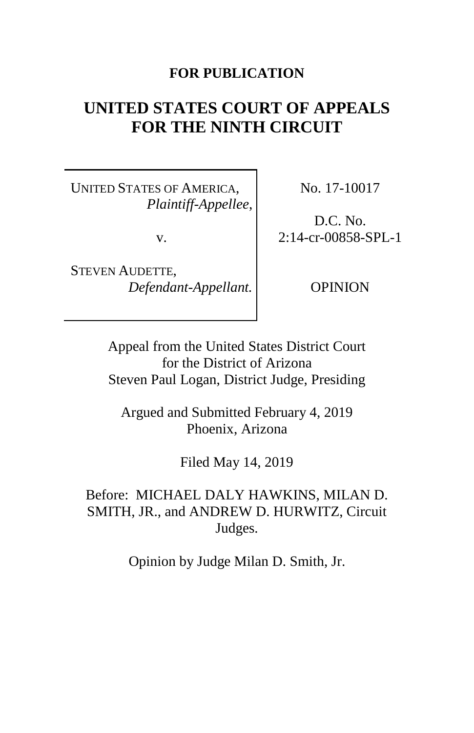# **FOR PUBLICATION**

# **UNITED STATES COURT OF APPEALS FOR THE NINTH CIRCUIT**

UNITED STATES OF AMERICA, *Plaintiff-Appellee*,

v.

STEVEN AUDETTE, *Defendant-Appellant.* No. 17-10017

D.C. No. 2:14-cr-00858-SPL-1

OPINION

Appeal from the United States District Court for the District of Arizona Steven Paul Logan, District Judge, Presiding

Argued and Submitted February 4, 2019 Phoenix, Arizona

Filed May 14, 2019

Before: MICHAEL DALY HAWKINS, MILAN D. SMITH, JR., and ANDREW D. HURWITZ, Circuit Judges.

Opinion by Judge Milan D. Smith, Jr.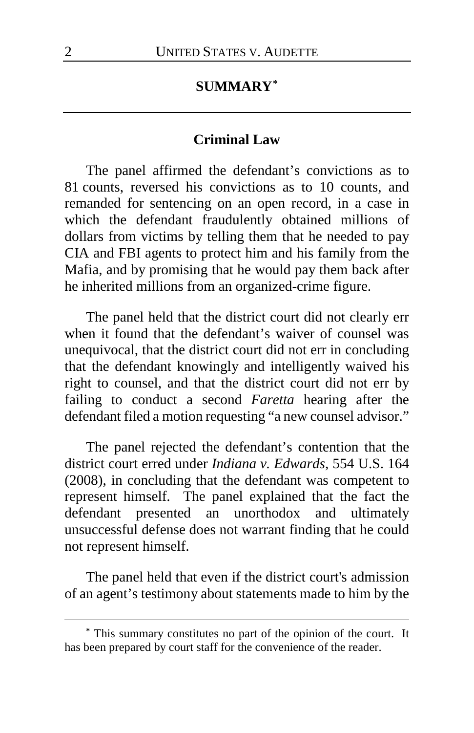# **SUMMARY[\\*](#page-1-0)**

#### **Criminal Law**

The panel affirmed the defendant's convictions as to 81 counts, reversed his convictions as to 10 counts, and remanded for sentencing on an open record, in a case in which the defendant fraudulently obtained millions of dollars from victims by telling them that he needed to pay CIA and FBI agents to protect him and his family from the Mafia, and by promising that he would pay them back after he inherited millions from an organized-crime figure.

The panel held that the district court did not clearly err when it found that the defendant's waiver of counsel was unequivocal, that the district court did not err in concluding that the defendant knowingly and intelligently waived his right to counsel, and that the district court did not err by failing to conduct a second *Faretta* hearing after the defendant filed a motion requesting "a new counsel advisor."

The panel rejected the defendant's contention that the district court erred under *Indiana v. Edwards*, 554 U.S. 164 (2008), in concluding that the defendant was competent to represent himself. The panel explained that the fact the defendant presented an unorthodox and ultimately unsuccessful defense does not warrant finding that he could not represent himself.

The panel held that even if the district court's admission of an agent's testimony about statements made to him by the

 $\overline{a}$ 

<span id="page-1-0"></span>**<sup>\*</sup>** This summary constitutes no part of the opinion of the court. It has been prepared by court staff for the convenience of the reader.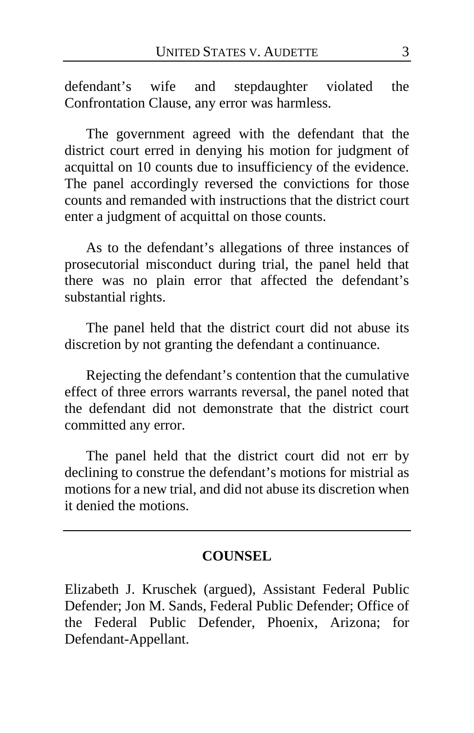defendant's wife and stepdaughter violated the Confrontation Clause, any error was harmless.

The government agreed with the defendant that the district court erred in denying his motion for judgment of acquittal on 10 counts due to insufficiency of the evidence. The panel accordingly reversed the convictions for those counts and remanded with instructions that the district court enter a judgment of acquittal on those counts.

As to the defendant's allegations of three instances of prosecutorial misconduct during trial, the panel held that there was no plain error that affected the defendant's substantial rights.

The panel held that the district court did not abuse its discretion by not granting the defendant a continuance.

Rejecting the defendant's contention that the cumulative effect of three errors warrants reversal, the panel noted that the defendant did not demonstrate that the district court committed any error.

The panel held that the district court did not err by declining to construe the defendant's motions for mistrial as motions for a new trial, and did not abuse its discretion when it denied the motions.

### **COUNSEL**

Elizabeth J. Kruschek (argued), Assistant Federal Public Defender; Jon M. Sands, Federal Public Defender; Office of the Federal Public Defender, Phoenix, Arizona; for Defendant-Appellant.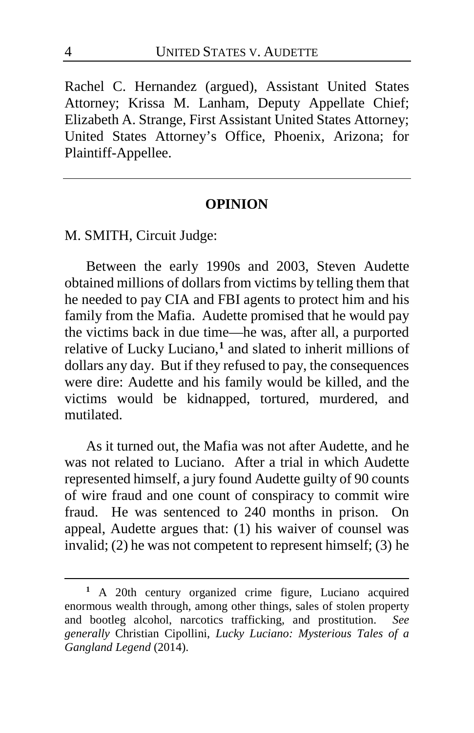Rachel C. Hernandez (argued), Assistant United States Attorney; Krissa M. Lanham, Deputy Appellate Chief; Elizabeth A. Strange, First Assistant United States Attorney; United States Attorney's Office, Phoenix, Arizona; for Plaintiff-Appellee.

#### **OPINION**

M. SMITH, Circuit Judge:

Between the early 1990s and 2003, Steven Audette obtained millions of dollars from victims by telling them that he needed to pay CIA and FBI agents to protect him and his family from the Mafia. Audette promised that he would pay the victims back in due time—he was, after all, a purported relative of Lucky Luciano,**[1](#page-3-0)** and slated to inherit millions of dollars any day. But if they refused to pay, the consequences were dire: Audette and his family would be killed, and the victims would be kidnapped, tortured, murdered, and mutilated.

As it turned out, the Mafia was not after Audette, and he was not related to Luciano. After a trial in which Audette represented himself, a jury found Audette guilty of 90 counts of wire fraud and one count of conspiracy to commit wire fraud. He was sentenced to 240 months in prison. On appeal, Audette argues that: (1) his waiver of counsel was invalid; (2) he was not competent to represent himself; (3) he

 $\overline{a}$ 

<span id="page-3-0"></span>**<sup>1</sup>** A 20th century organized crime figure, Luciano acquired enormous wealth through, among other things, sales of stolen property and bootleg alcohol, narcotics trafficking, and prostitution. *See generally* Christian Cipollini, *Lucky Luciano: Mysterious Tales of a Gangland Legend* (2014).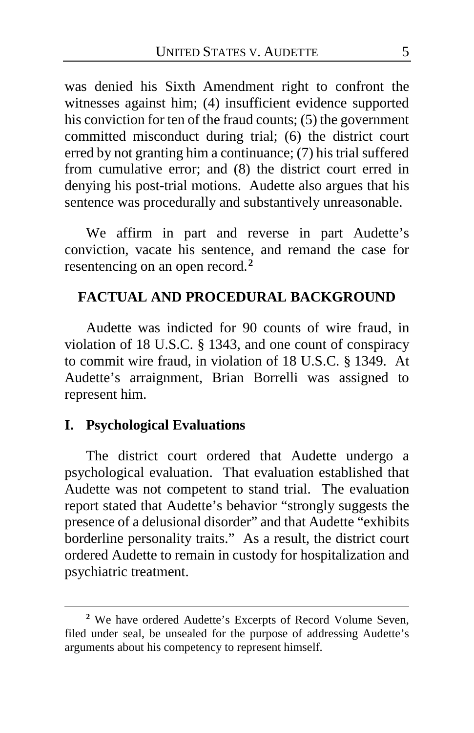was denied his Sixth Amendment right to confront the witnesses against him; (4) insufficient evidence supported his conviction for ten of the fraud counts; (5) the government committed misconduct during trial; (6) the district court erred by not granting him a continuance; (7) his trial suffered from cumulative error; and (8) the district court erred in denying his post-trial motions. Audette also argues that his sentence was procedurally and substantively unreasonable.

We affirm in part and reverse in part Audette's conviction, vacate his sentence, and remand the case for resentencing on an open record.**[2](#page-4-0)**

# **FACTUAL AND PROCEDURAL BACKGROUND**

Audette was indicted for 90 counts of wire fraud, in violation of 18 U.S.C. § 1343, and one count of conspiracy to commit wire fraud, in violation of 18 U.S.C. § 1349. At Audette's arraignment, Brian Borrelli was assigned to represent him.

## **I. Psychological Evaluations**

 $\overline{a}$ 

The district court ordered that Audette undergo a psychological evaluation. That evaluation established that Audette was not competent to stand trial. The evaluation report stated that Audette's behavior "strongly suggests the presence of a delusional disorder" and that Audette "exhibits borderline personality traits." As a result, the district court ordered Audette to remain in custody for hospitalization and psychiatric treatment.

<span id="page-4-0"></span>**<sup>2</sup>** We have ordered Audette's Excerpts of Record Volume Seven, filed under seal, be unsealed for the purpose of addressing Audette's arguments about his competency to represent himself.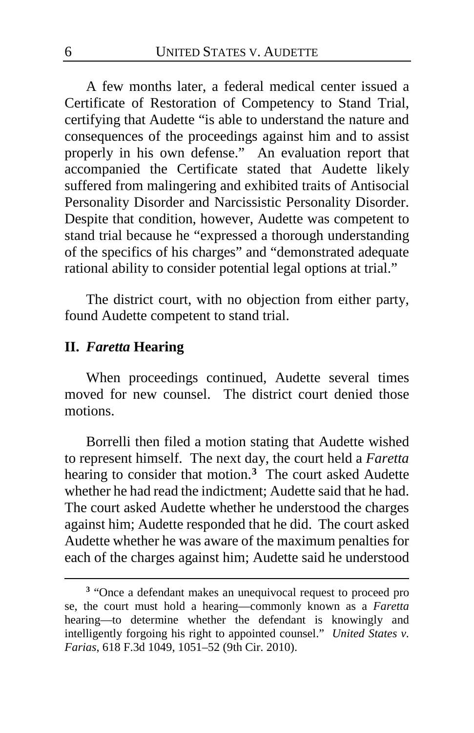A few months later, a federal medical center issued a Certificate of Restoration of Competency to Stand Trial, certifying that Audette "is able to understand the nature and consequences of the proceedings against him and to assist properly in his own defense." An evaluation report that accompanied the Certificate stated that Audette likely suffered from malingering and exhibited traits of Antisocial Personality Disorder and Narcissistic Personality Disorder. Despite that condition, however, Audette was competent to stand trial because he "expressed a thorough understanding of the specifics of his charges" and "demonstrated adequate rational ability to consider potential legal options at trial."

The district court, with no objection from either party, found Audette competent to stand trial.

#### **II.** *Faretta* **Hearing**

 $\overline{a}$ 

When proceedings continued, Audette several times moved for new counsel. The district court denied those motions.

Borrelli then filed a motion stating that Audette wished to represent himself. The next day, the court held a *Faretta* hearing to consider that motion.**[3](#page-5-0)** The court asked Audette whether he had read the indictment; Audette said that he had. The court asked Audette whether he understood the charges against him; Audette responded that he did. The court asked Audette whether he was aware of the maximum penalties for each of the charges against him; Audette said he understood

<span id="page-5-0"></span>**<sup>3</sup>** "Once a defendant makes an unequivocal request to proceed pro se, the court must hold a hearing—commonly known as a *Faretta* hearing—to determine whether the defendant is knowingly and intelligently forgoing his right to appointed counsel." *United States v. Farias*, 618 F.3d 1049, 1051–52 (9th Cir. 2010).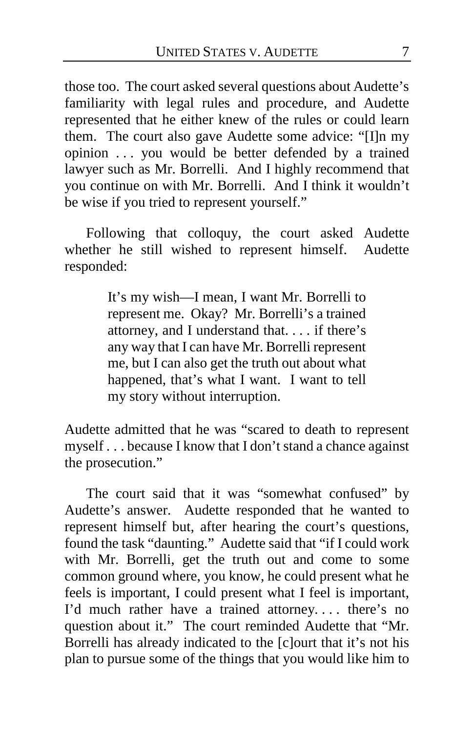those too. The court asked several questions about Audette's familiarity with legal rules and procedure, and Audette represented that he either knew of the rules or could learn them. The court also gave Audette some advice: "[I]n my opinion . . . you would be better defended by a trained lawyer such as Mr. Borrelli. And I highly recommend that you continue on with Mr. Borrelli. And I think it wouldn't be wise if you tried to represent yourself."

Following that colloquy, the court asked Audette whether he still wished to represent himself. Audette responded:

> It's my wish—I mean, I want Mr. Borrelli to represent me. Okay? Mr. Borrelli's a trained attorney, and I understand that. . . . if there's any way that I can have Mr. Borrelli represent me, but I can also get the truth out about what happened, that's what I want. I want to tell my story without interruption.

Audette admitted that he was "scared to death to represent myself . . . because I know that I don't stand a chance against the prosecution."

The court said that it was "somewhat confused" by Audette's answer. Audette responded that he wanted to represent himself but, after hearing the court's questions, found the task "daunting." Audette said that "if I could work with Mr. Borrelli, get the truth out and come to some common ground where, you know, he could present what he feels is important, I could present what I feel is important, I'd much rather have a trained attorney. . . . there's no question about it." The court reminded Audette that "Mr. Borrelli has already indicated to the [c]ourt that it's not his plan to pursue some of the things that you would like him to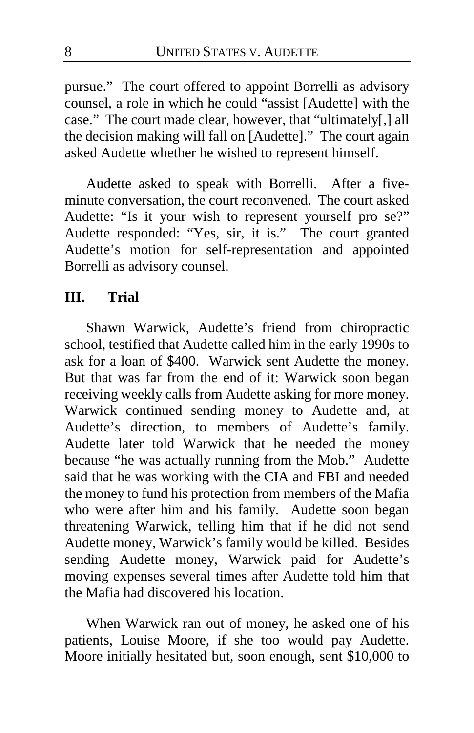pursue." The court offered to appoint Borrelli as advisory counsel, a role in which he could "assist [Audette] with the case." The court made clear, however, that "ultimately[,] all the decision making will fall on [Audette]." The court again asked Audette whether he wished to represent himself.

Audette asked to speak with Borrelli. After a fiveminute conversation, the court reconvened. The court asked Audette: "Is it your wish to represent yourself pro se?" Audette responded: "Yes, sir, it is." The court granted Audette's motion for self-representation and appointed Borrelli as advisory counsel.

### **III. Trial**

Shawn Warwick, Audette's friend from chiropractic school, testified that Audette called him in the early 1990s to ask for a loan of \$400. Warwick sent Audette the money. But that was far from the end of it: Warwick soon began receiving weekly calls from Audette asking for more money. Warwick continued sending money to Audette and, at Audette's direction, to members of Audette's family. Audette later told Warwick that he needed the money because "he was actually running from the Mob." Audette said that he was working with the CIA and FBI and needed the money to fund his protection from members of the Mafia who were after him and his family. Audette soon began threatening Warwick, telling him that if he did not send Audette money, Warwick's family would be killed. Besides sending Audette money, Warwick paid for Audette's moving expenses several times after Audette told him that the Mafia had discovered his location.

When Warwick ran out of money, he asked one of his patients, Louise Moore, if she too would pay Audette. Moore initially hesitated but, soon enough, sent \$10,000 to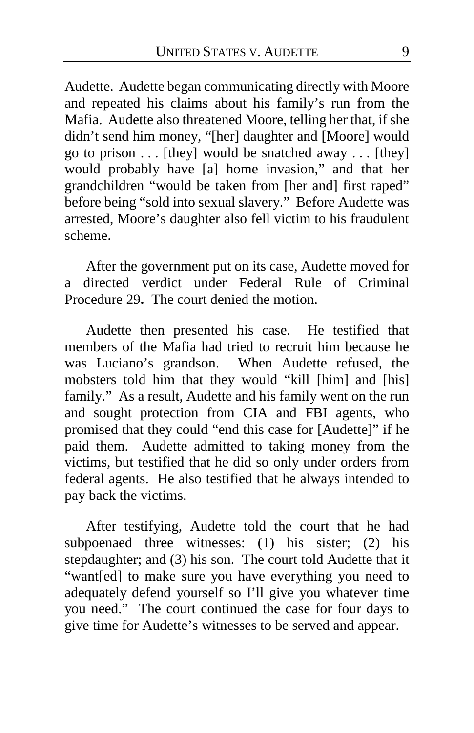Audette. Audette began communicating directly with Moore and repeated his claims about his family's run from the Mafia. Audette also threatened Moore, telling her that, if she didn't send him money, "[her] daughter and [Moore] would go to prison  $\dots$  [they] would be snatched away  $\dots$  [they] would probably have [a] home invasion," and that her grandchildren "would be taken from [her and] first raped" before being "sold into sexual slavery." Before Audette was arrested, Moore's daughter also fell victim to his fraudulent scheme.

After the government put on its case, Audette moved for a directed verdict under Federal Rule of Criminal Procedure 29**.** The court denied the motion.

Audette then presented his case. He testified that members of the Mafia had tried to recruit him because he was Luciano's grandson. When Audette refused, the mobsters told him that they would "kill [him] and [his] family." As a result, Audette and his family went on the run and sought protection from CIA and FBI agents, who promised that they could "end this case for [Audette]" if he paid them. Audette admitted to taking money from the victims, but testified that he did so only under orders from federal agents. He also testified that he always intended to pay back the victims.

After testifying, Audette told the court that he had subpoenaed three witnesses: (1) his sister; (2) his stepdaughter; and (3) his son. The court told Audette that it "want[ed] to make sure you have everything you need to adequately defend yourself so I'll give you whatever time you need." The court continued the case for four days to give time for Audette's witnesses to be served and appear.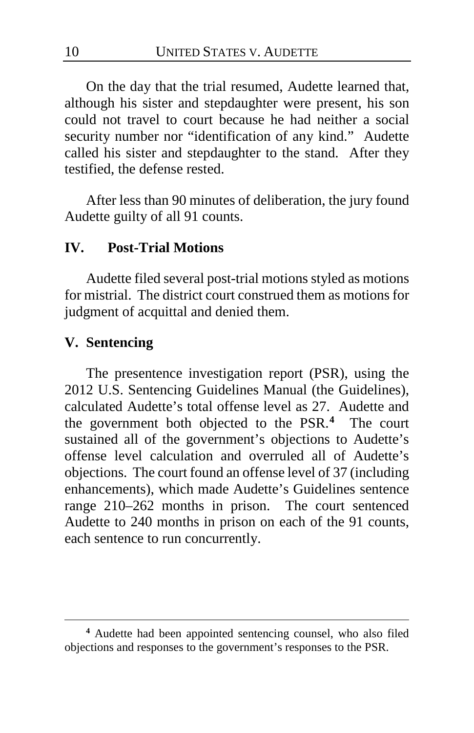On the day that the trial resumed, Audette learned that, although his sister and stepdaughter were present, his son could not travel to court because he had neither a social security number nor "identification of any kind." Audette called his sister and stepdaughter to the stand. After they testified, the defense rested.

After less than 90 minutes of deliberation, the jury found Audette guilty of all 91 counts.

#### **IV. Post-Trial Motions**

Audette filed several post-trial motions styled as motions for mistrial. The district court construed them as motions for judgment of acquittal and denied them.

### **V. Sentencing**

 $\overline{a}$ 

The presentence investigation report (PSR), using the 2012 U.S. Sentencing Guidelines Manual (the Guidelines), calculated Audette's total offense level as 27. Audette and the government both objected to the PSR.**[4](#page-9-0)** The court sustained all of the government's objections to Audette's offense level calculation and overruled all of Audette's objections. The court found an offense level of 37 (including enhancements), which made Audette's Guidelines sentence range 210–262 months in prison. The court sentenced Audette to 240 months in prison on each of the 91 counts, each sentence to run concurrently.

<span id="page-9-0"></span>**<sup>4</sup>** Audette had been appointed sentencing counsel, who also filed objections and responses to the government's responses to the PSR.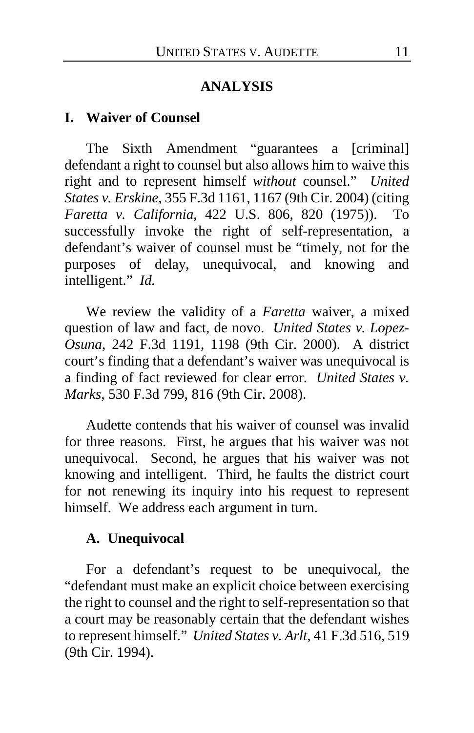### **ANALYSIS**

#### **I. Waiver of Counsel**

The Sixth Amendment "guarantees a [criminal] defendant a right to counsel but also allows him to waive this right and to represent himself *without* counsel." *United States v. Erskine*, 355 F.3d 1161, 1167 (9th Cir. 2004) (citing *Faretta v. California*, 422 U.S. 806, 820 (1975)). To successfully invoke the right of self-representation, a defendant's waiver of counsel must be "timely, not for the purposes of delay, unequivocal, and knowing and intelligent." *Id.*

We review the validity of a *Faretta* waiver, a mixed question of law and fact, de novo. *United States v. Lopez-Osuna*, 242 F.3d 1191, 1198 (9th Cir. 2000). A district court's finding that a defendant's waiver was unequivocal is a finding of fact reviewed for clear error. *United States v. Marks*, 530 F.3d 799, 816 (9th Cir. 2008).

Audette contends that his waiver of counsel was invalid for three reasons. First, he argues that his waiver was not unequivocal. Second, he argues that his waiver was not knowing and intelligent. Third, he faults the district court for not renewing its inquiry into his request to represent himself. We address each argument in turn.

#### **A. Unequivocal**

For a defendant's request to be unequivocal, the "defendant must make an explicit choice between exercising the right to counsel and the right to self-representation so that a court may be reasonably certain that the defendant wishes to represent himself." *United States v. Arlt*, 41 F.3d 516, 519 (9th Cir. 1994).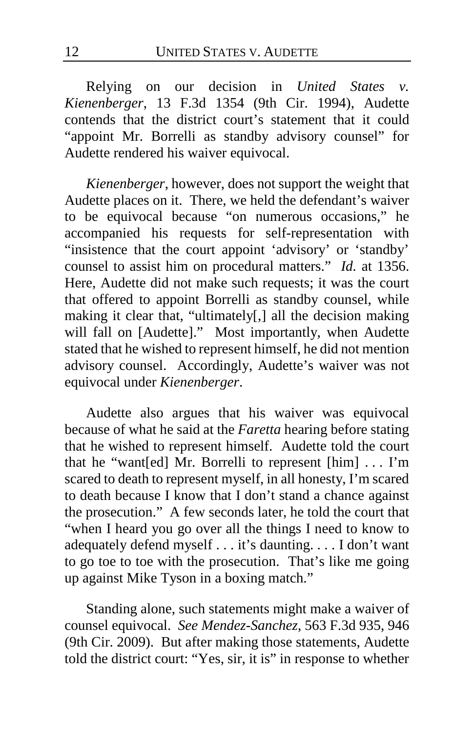Relying on our decision in *United States v. Kienenberger*, 13 F.3d 1354 (9th Cir. 1994), Audette contends that the district court's statement that it could "appoint Mr. Borrelli as standby advisory counsel" for Audette rendered his waiver equivocal.

*Kienenberger*, however, does not support the weight that Audette places on it. There, we held the defendant's waiver to be equivocal because "on numerous occasions," he accompanied his requests for self-representation with "insistence that the court appoint 'advisory' or 'standby' counsel to assist him on procedural matters." *Id.* at 1356. Here, Audette did not make such requests; it was the court that offered to appoint Borrelli as standby counsel, while making it clear that, "ultimately[,] all the decision making will fall on [Audette]." Most importantly, when Audette stated that he wished to represent himself, he did not mention advisory counsel. Accordingly, Audette's waiver was not equivocal under *Kienenberger*.

Audette also argues that his waiver was equivocal because of what he said at the *Faretta* hearing before stating that he wished to represent himself. Audette told the court that he "want[ed] Mr. Borrelli to represent [him] . . . I'm scared to death to represent myself, in all honesty, I'm scared to death because I know that I don't stand a chance against the prosecution." A few seconds later, he told the court that "when I heard you go over all the things I need to know to adequately defend myself . . . it's daunting. . . . I don't want to go toe to toe with the prosecution. That's like me going up against Mike Tyson in a boxing match."

Standing alone, such statements might make a waiver of counsel equivocal. *See Mendez-Sanchez*, 563 F.3d 935, 946 (9th Cir. 2009). But after making those statements, Audette told the district court: "Yes, sir, it is" in response to whether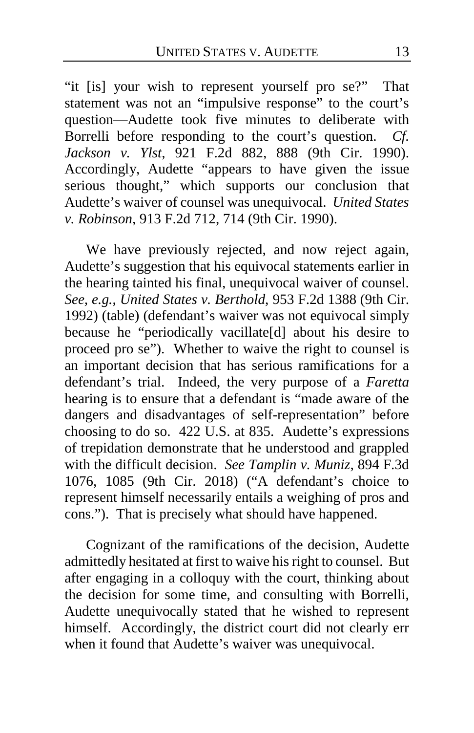"it [is] your wish to represent yourself pro se?" That statement was not an "impulsive response" to the court's question—Audette took five minutes to deliberate with Borrelli before responding to the court's question. *Cf. Jackson v. Ylst*, 921 F.2d 882, 888 (9th Cir. 1990). Accordingly, Audette "appears to have given the issue serious thought," which supports our conclusion that Audette's waiver of counsel was unequivocal. *United States v. Robinson*, 913 F.2d 712, 714 (9th Cir. 1990).

We have previously rejected, and now reject again, Audette's suggestion that his equivocal statements earlier in the hearing tainted his final, unequivocal waiver of counsel. *See, e.g.*, *United States v. Berthold*, 953 F.2d 1388 (9th Cir. 1992) (table) (defendant's waiver was not equivocal simply because he "periodically vacillate[d] about his desire to proceed pro se"). Whether to waive the right to counsel is an important decision that has serious ramifications for a defendant's trial. Indeed, the very purpose of a *Faretta* hearing is to ensure that a defendant is "made aware of the dangers and disadvantages of self-representation" before choosing to do so. 422 U.S. at 835. Audette's expressions of trepidation demonstrate that he understood and grappled with the difficult decision. *See Tamplin v. Muniz*, 894 F.3d 1076, 1085 (9th Cir. 2018) ("A defendant's choice to represent himself necessarily entails a weighing of pros and cons."). That is precisely what should have happened.

Cognizant of the ramifications of the decision, Audette admittedly hesitated at first to waive his right to counsel. But after engaging in a colloquy with the court, thinking about the decision for some time, and consulting with Borrelli, Audette unequivocally stated that he wished to represent himself. Accordingly, the district court did not clearly err when it found that Audette's waiver was unequivocal.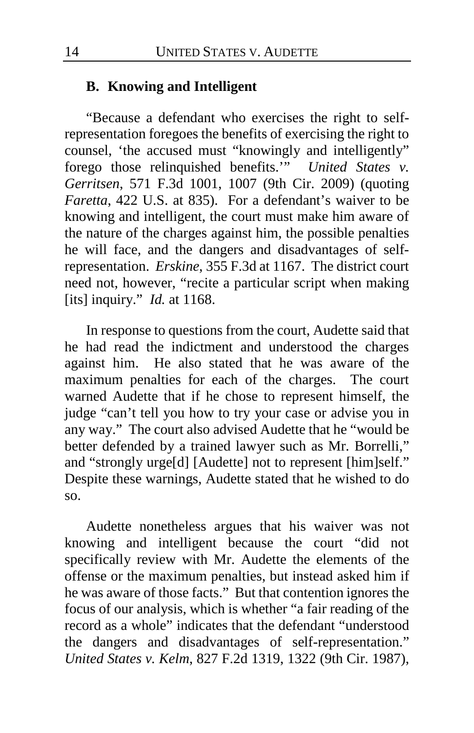#### **B. Knowing and Intelligent**

"Because a defendant who exercises the right to selfrepresentation foregoes the benefits of exercising the right to counsel, 'the accused must "knowingly and intelligently" forego those relinquished benefits.'" *United States v. Gerritsen*, 571 F.3d 1001, 1007 (9th Cir. 2009) (quoting *Faretta*, 422 U.S. at 835). For a defendant's waiver to be knowing and intelligent, the court must make him aware of the nature of the charges against him, the possible penalties he will face, and the dangers and disadvantages of selfrepresentation. *Erskine*, 355 F.3d at 1167. The district court need not, however, "recite a particular script when making [its] inquiry." *Id.* at 1168.

In response to questions from the court, Audette said that he had read the indictment and understood the charges against him. He also stated that he was aware of the maximum penalties for each of the charges. The court warned Audette that if he chose to represent himself, the judge "can't tell you how to try your case or advise you in any way." The court also advised Audette that he "would be better defended by a trained lawyer such as Mr. Borrelli," and "strongly urge[d] [Audette] not to represent [him]self." Despite these warnings, Audette stated that he wished to do so.

Audette nonetheless argues that his waiver was not knowing and intelligent because the court "did not specifically review with Mr. Audette the elements of the offense or the maximum penalties, but instead asked him if he was aware of those facts." But that contention ignores the focus of our analysis, which is whether "a fair reading of the record as a whole" indicates that the defendant "understood the dangers and disadvantages of self-representation." *United States v. Kelm*, 827 F.2d 1319, 1322 (9th Cir. 1987),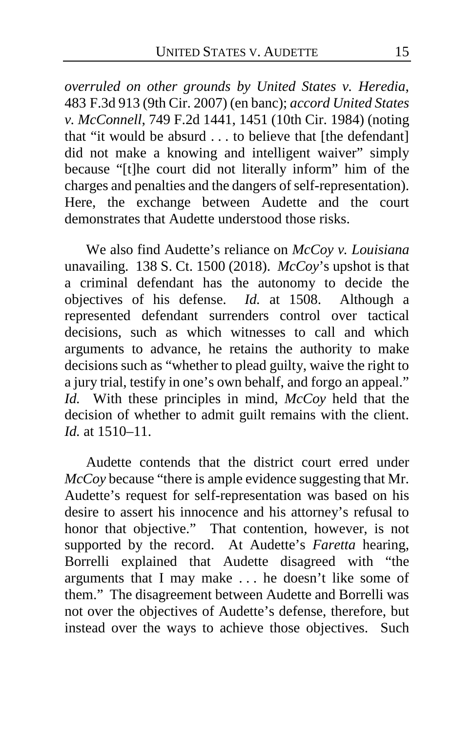*overruled on other grounds by United States v. Heredia*, 483 F.3d 913 (9th Cir. 2007) (en banc); *accord United States v. McConnell*, 749 F.2d 1441, 1451 (10th Cir. 1984) (noting that "it would be absurd . . . to believe that [the defendant] did not make a knowing and intelligent waiver" simply because "[t]he court did not literally inform" him of the charges and penalties and the dangers of self-representation). Here, the exchange between Audette and the court demonstrates that Audette understood those risks.

We also find Audette's reliance on *McCoy v. Louisiana*  unavailing. 138 S. Ct. 1500 (2018). *McCoy*'s upshot is that a criminal defendant has the autonomy to decide the objectives of his defense. *Id.* at 1508. Although a represented defendant surrenders control over tactical decisions, such as which witnesses to call and which arguments to advance, he retains the authority to make decisions such as "whether to plead guilty, waive the right to a jury trial, testify in one's own behalf, and forgo an appeal." *Id.* With these principles in mind, *McCoy* held that the decision of whether to admit guilt remains with the client. *Id.* at 1510–11.

Audette contends that the district court erred under *McCoy* because "there is ample evidence suggesting that Mr. Audette's request for self-representation was based on his desire to assert his innocence and his attorney's refusal to honor that objective." That contention, however, is not supported by the record. At Audette's *Faretta* hearing, Borrelli explained that Audette disagreed with "the arguments that I may make . . . he doesn't like some of them." The disagreement between Audette and Borrelli was not over the objectives of Audette's defense, therefore, but instead over the ways to achieve those objectives. Such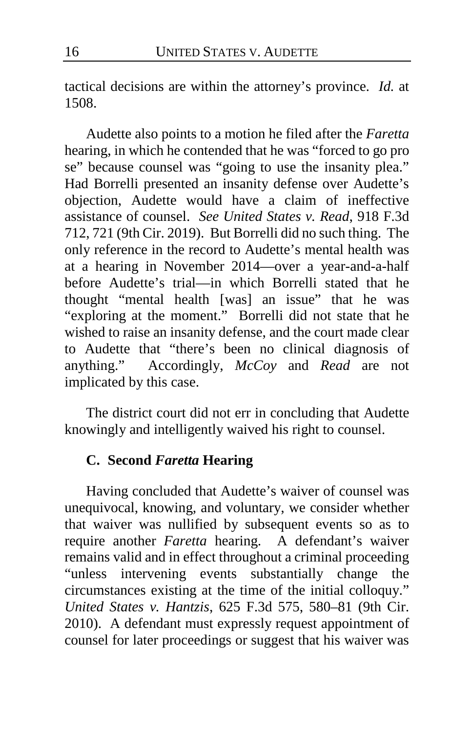tactical decisions are within the attorney's province. *Id.* at 1508.

Audette also points to a motion he filed after the *Faretta* hearing, in which he contended that he was "forced to go pro se" because counsel was "going to use the insanity plea." Had Borrelli presented an insanity defense over Audette's objection, Audette would have a claim of ineffective assistance of counsel. *See United States v. Read*, 918 F.3d 712, 721 (9th Cir. 2019). But Borrelli did no such thing. The only reference in the record to Audette's mental health was at a hearing in November 2014—over a year-and-a-half before Audette's trial—in which Borrelli stated that he thought "mental health [was] an issue" that he was "exploring at the moment." Borrelli did not state that he wished to raise an insanity defense, and the court made clear to Audette that "there's been no clinical diagnosis of anything." Accordingly, *McCoy* and *Read* are not implicated by this case.

The district court did not err in concluding that Audette knowingly and intelligently waived his right to counsel.

# **C. Second** *Faretta* **Hearing**

Having concluded that Audette's waiver of counsel was unequivocal, knowing, and voluntary, we consider whether that waiver was nullified by subsequent events so as to require another *Faretta* hearing. A defendant's waiver remains valid and in effect throughout a criminal proceeding "unless intervening events substantially change the circumstances existing at the time of the initial colloquy." *United States v. Hantzis*, 625 F.3d 575, 580–81 (9th Cir. 2010). A defendant must expressly request appointment of counsel for later proceedings or suggest that his waiver was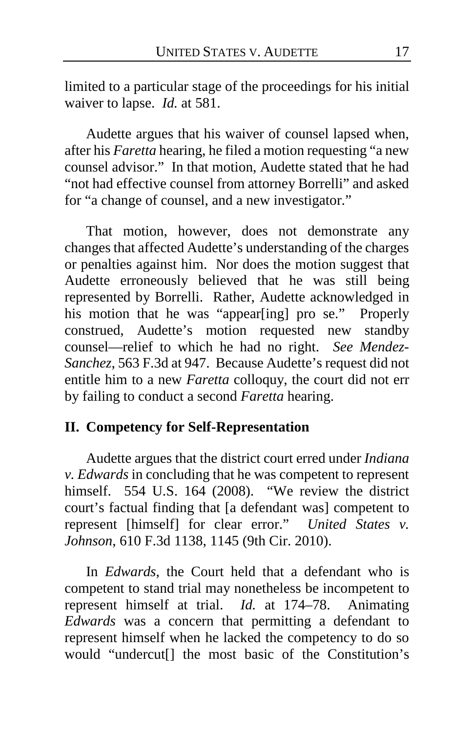limited to a particular stage of the proceedings for his initial waiver to lapse. *Id.* at 581.

Audette argues that his waiver of counsel lapsed when, after his *Faretta* hearing, he filed a motion requesting "a new counsel advisor." In that motion, Audette stated that he had "not had effective counsel from attorney Borrelli" and asked for "a change of counsel, and a new investigator."

That motion, however, does not demonstrate any changes that affected Audette's understanding of the charges or penalties against him. Nor does the motion suggest that Audette erroneously believed that he was still being represented by Borrelli. Rather, Audette acknowledged in his motion that he was "appear[ing] pro se." Properly construed, Audette's motion requested new standby counsel—relief to which he had no right. *See Mendez-Sanchez*, 563 F.3d at 947. Because Audette's request did not entitle him to a new *Faretta* colloquy, the court did not err by failing to conduct a second *Faretta* hearing.

### **II. Competency for Self-Representation**

Audette argues that the district court erred under *Indiana v. Edwards* in concluding that he was competent to represent himself. 554 U.S. 164 (2008). "We review the district court's factual finding that [a defendant was] competent to represent [himself] for clear error." *United States v. Johnson*, 610 F.3d 1138, 1145 (9th Cir. 2010).

In *Edwards*, the Court held that a defendant who is competent to stand trial may nonetheless be incompetent to represent himself at trial. *Id.* at 174–78. Animating *Edwards* was a concern that permitting a defendant to represent himself when he lacked the competency to do so would "undercut[] the most basic of the Constitution's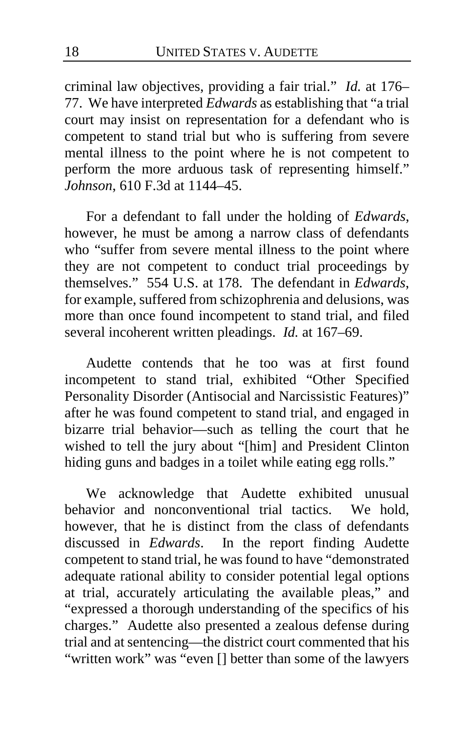criminal law objectives, providing a fair trial." *Id.* at 176– 77. We have interpreted *Edwards* as establishing that "a trial court may insist on representation for a defendant who is competent to stand trial but who is suffering from severe mental illness to the point where he is not competent to perform the more arduous task of representing himself." *Johnson*, 610 F.3d at 1144–45.

For a defendant to fall under the holding of *Edwards*, however, he must be among a narrow class of defendants who "suffer from severe mental illness to the point where they are not competent to conduct trial proceedings by themselves." 554 U.S. at 178. The defendant in *Edwards*, for example, suffered from schizophrenia and delusions, was more than once found incompetent to stand trial, and filed several incoherent written pleadings. *Id.* at 167–69.

Audette contends that he too was at first found incompetent to stand trial, exhibited "Other Specified Personality Disorder (Antisocial and Narcissistic Features)" after he was found competent to stand trial, and engaged in bizarre trial behavior—such as telling the court that he wished to tell the jury about "[him] and President Clinton hiding guns and badges in a toilet while eating egg rolls."

We acknowledge that Audette exhibited unusual behavior and nonconventional trial tactics. We hold, however, that he is distinct from the class of defendants discussed in *Edwards*. In the report finding Audette competent to stand trial, he was found to have "demonstrated adequate rational ability to consider potential legal options at trial, accurately articulating the available pleas," and "expressed a thorough understanding of the specifics of his charges." Audette also presented a zealous defense during trial and at sentencing—the district court commented that his "written work" was "even [] better than some of the lawyers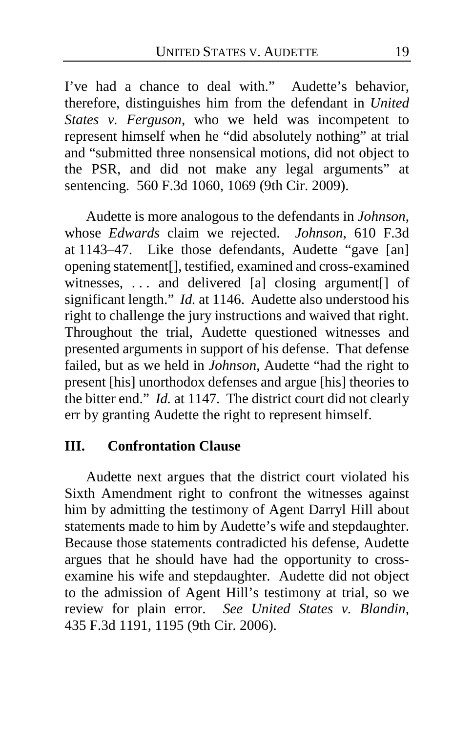I've had a chance to deal with." Audette's behavior, therefore, distinguishes him from the defendant in *United States v. Ferguson*, who we held was incompetent to represent himself when he "did absolutely nothing" at trial and "submitted three nonsensical motions, did not object to the PSR, and did not make any legal arguments" at sentencing. 560 F.3d 1060, 1069 (9th Cir. 2009).

Audette is more analogous to the defendants in *Johnson*, whose *Edwards* claim we rejected. *Johnson*, 610 F.3d at 1143–47. Like those defendants, Audette "gave [an] opening statement[], testified, examined and cross-examined witnesses, ... and delivered [a] closing argument<sup>[]</sup> of significant length." *Id.* at 1146. Audette also understood his right to challenge the jury instructions and waived that right. Throughout the trial, Audette questioned witnesses and presented arguments in support of his defense. That defense failed, but as we held in *Johnson*, Audette "had the right to present [his] unorthodox defenses and argue [his] theories to the bitter end." *Id.* at 1147. The district court did not clearly err by granting Audette the right to represent himself.

# **III. Confrontation Clause**

Audette next argues that the district court violated his Sixth Amendment right to confront the witnesses against him by admitting the testimony of Agent Darryl Hill about statements made to him by Audette's wife and stepdaughter. Because those statements contradicted his defense, Audette argues that he should have had the opportunity to crossexamine his wife and stepdaughter. Audette did not object to the admission of Agent Hill's testimony at trial, so we review for plain error. *See United States v. Blandin*, 435 F.3d 1191, 1195 (9th Cir. 2006).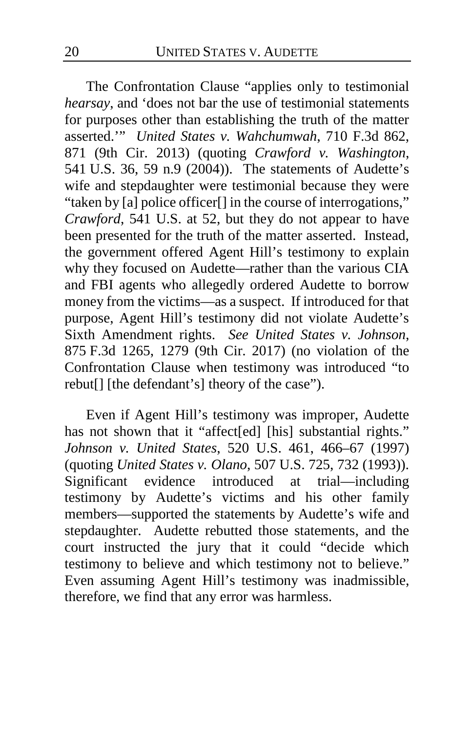The Confrontation Clause "applies only to testimonial *hearsay*, and 'does not bar the use of testimonial statements for purposes other than establishing the truth of the matter asserted.'" *United States v. Wahchumwah*, 710 F.3d 862, 871 (9th Cir. 2013) (quoting *Crawford v. Washington*, 541 U.S. 36, 59 n.9 (2004)). The statements of Audette's wife and stepdaughter were testimonial because they were "taken by [a] police officer[] in the course of interrogations," *Crawford*, 541 U.S. at 52, but they do not appear to have been presented for the truth of the matter asserted. Instead, the government offered Agent Hill's testimony to explain why they focused on Audette—rather than the various CIA and FBI agents who allegedly ordered Audette to borrow money from the victims—as a suspect. If introduced for that purpose, Agent Hill's testimony did not violate Audette's Sixth Amendment rights. *See United States v. Johnson*, 875 F.3d 1265, 1279 (9th Cir. 2017) (no violation of the Confrontation Clause when testimony was introduced "to rebut[] [the defendant's] theory of the case").

Even if Agent Hill's testimony was improper, Audette has not shown that it "affect[ed] [his] substantial rights." *Johnson v. United States*, 520 U.S. 461, 466–67 (1997) (quoting *United States v. Olano*, 507 U.S. 725, 732 (1993)). Significant evidence introduced at trial—including testimony by Audette's victims and his other family members—supported the statements by Audette's wife and stepdaughter. Audette rebutted those statements, and the court instructed the jury that it could "decide which testimony to believe and which testimony not to believe." Even assuming Agent Hill's testimony was inadmissible, therefore, we find that any error was harmless.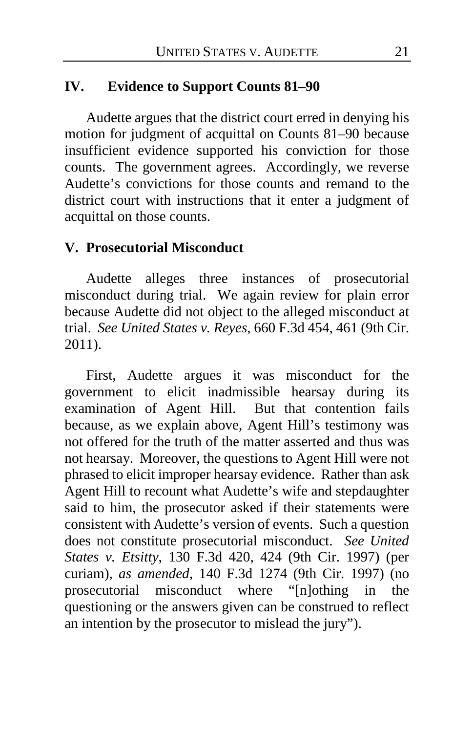# **IV. Evidence to Support Counts 81–90**

Audette argues that the district court erred in denying his motion for judgment of acquittal on Counts 81–90 because insufficient evidence supported his conviction for those counts. The government agrees. Accordingly, we reverse Audette's convictions for those counts and remand to the district court with instructions that it enter a judgment of acquittal on those counts.

#### **V. Prosecutorial Misconduct**

Audette alleges three instances of prosecutorial misconduct during trial. We again review for plain error because Audette did not object to the alleged misconduct at trial. *See United States v. Reyes*, 660 F.3d 454, 461 (9th Cir. 2011).

First, Audette argues it was misconduct for the government to elicit inadmissible hearsay during its examination of Agent Hill. But that contention fails because, as we explain above, Agent Hill's testimony was not offered for the truth of the matter asserted and thus was not hearsay. Moreover, the questions to Agent Hill were not phrased to elicit improper hearsay evidence. Rather than ask Agent Hill to recount what Audette's wife and stepdaughter said to him, the prosecutor asked if their statements were consistent with Audette's version of events. Such a question does not constitute prosecutorial misconduct. *See United States v. Etsitty*, 130 F.3d 420, 424 (9th Cir. 1997) (per curiam), *as amended*, 140 F.3d 1274 (9th Cir. 1997) (no prosecutorial misconduct where "[n]othing in the questioning or the answers given can be construed to reflect an intention by the prosecutor to mislead the jury").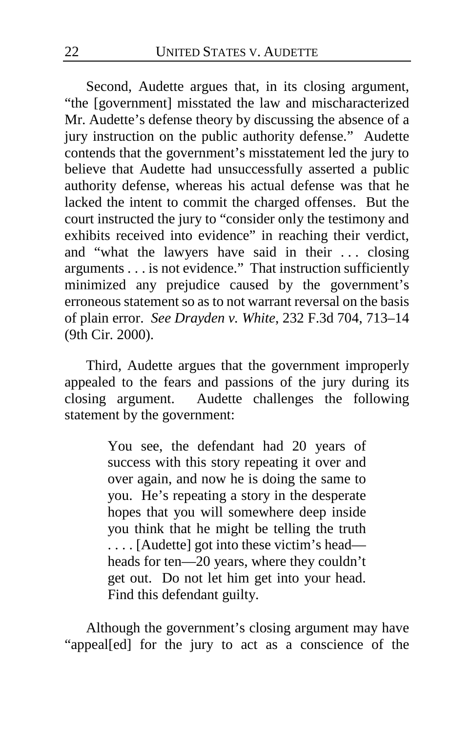Second, Audette argues that, in its closing argument, "the [government] misstated the law and mischaracterized Mr. Audette's defense theory by discussing the absence of a jury instruction on the public authority defense." Audette contends that the government's misstatement led the jury to believe that Audette had unsuccessfully asserted a public authority defense, whereas his actual defense was that he lacked the intent to commit the charged offenses. But the court instructed the jury to "consider only the testimony and exhibits received into evidence" in reaching their verdict, and "what the lawyers have said in their . . . closing arguments . . . is not evidence." That instruction sufficiently minimized any prejudice caused by the government's erroneous statement so as to not warrant reversal on the basis of plain error. *See Drayden v. White*, 232 F.3d 704, 713–14 (9th Cir. 2000).

Third, Audette argues that the government improperly appealed to the fears and passions of the jury during its closing argument. Audette challenges the following statement by the government:

> You see, the defendant had 20 years of success with this story repeating it over and over again, and now he is doing the same to you. He's repeating a story in the desperate hopes that you will somewhere deep inside you think that he might be telling the truth . . . . [Audette] got into these victim's head heads for ten—20 years, where they couldn't get out. Do not let him get into your head. Find this defendant guilty.

Although the government's closing argument may have "appeal[ed] for the jury to act as a conscience of the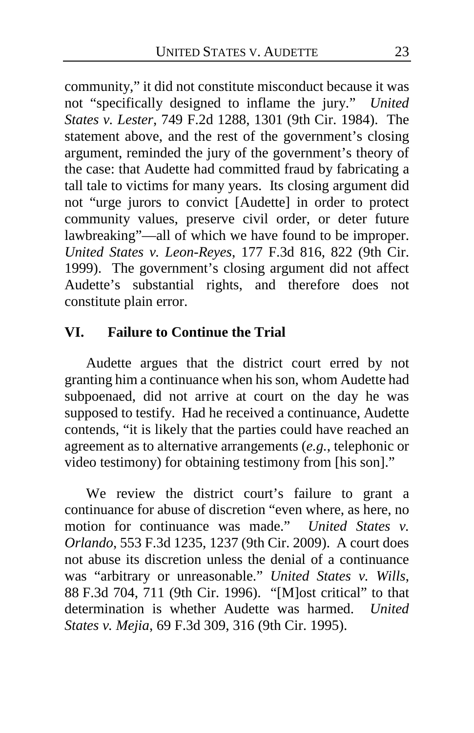community," it did not constitute misconduct because it was not "specifically designed to inflame the jury." *United States v. Lester*, 749 F.2d 1288, 1301 (9th Cir. 1984). The statement above, and the rest of the government's closing argument, reminded the jury of the government's theory of the case: that Audette had committed fraud by fabricating a tall tale to victims for many years. Its closing argument did not "urge jurors to convict [Audette] in order to protect community values, preserve civil order, or deter future lawbreaking"—all of which we have found to be improper. *United States v. Leon-Reyes*, 177 F.3d 816, 822 (9th Cir. 1999). The government's closing argument did not affect Audette's substantial rights, and therefore does not constitute plain error.

# **VI. Failure to Continue the Trial**

Audette argues that the district court erred by not granting him a continuance when his son, whom Audette had subpoenaed, did not arrive at court on the day he was supposed to testify. Had he received a continuance, Audette contends, "it is likely that the parties could have reached an agreement as to alternative arrangements (*e.g.*, telephonic or video testimony) for obtaining testimony from [his son]."

We review the district court's failure to grant a continuance for abuse of discretion "even where, as here, no motion for continuance was made." *United States v. Orlando*, 553 F.3d 1235, 1237 (9th Cir. 2009). A court does not abuse its discretion unless the denial of a continuance was "arbitrary or unreasonable." *United States v. Wills*, 88 F.3d 704, 711 (9th Cir. 1996). "[M]ost critical" to that determination is whether Audette was harmed. *United States v. Mejia*, 69 F.3d 309, 316 (9th Cir. 1995).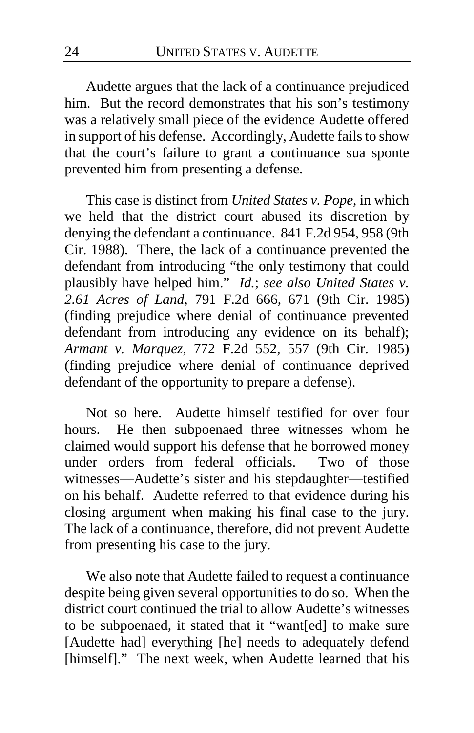Audette argues that the lack of a continuance prejudiced him. But the record demonstrates that his son's testimony was a relatively small piece of the evidence Audette offered in support of his defense. Accordingly, Audette fails to show that the court's failure to grant a continuance sua sponte prevented him from presenting a defense.

This case is distinct from *United States v. Pope*, in which we held that the district court abused its discretion by denying the defendant a continuance. 841 F.2d 954, 958 (9th Cir. 1988). There, the lack of a continuance prevented the defendant from introducing "the only testimony that could plausibly have helped him." *Id.*; *see also United States v. 2.61 Acres of Land*, 791 F.2d 666, 671 (9th Cir. 1985) (finding prejudice where denial of continuance prevented defendant from introducing any evidence on its behalf); *Armant v. Marquez*, 772 F.2d 552, 557 (9th Cir. 1985) (finding prejudice where denial of continuance deprived defendant of the opportunity to prepare a defense).

Not so here. Audette himself testified for over four hours. He then subpoenaed three witnesses whom he claimed would support his defense that he borrowed money under orders from federal officials. Two of those witnesses—Audette's sister and his stepdaughter—testified on his behalf. Audette referred to that evidence during his closing argument when making his final case to the jury. The lack of a continuance, therefore, did not prevent Audette from presenting his case to the jury.

We also note that Audette failed to request a continuance despite being given several opportunities to do so. When the district court continued the trial to allow Audette's witnesses to be subpoenaed, it stated that it "want[ed] to make sure [Audette had] everything [he] needs to adequately defend [himself]." The next week, when Audette learned that his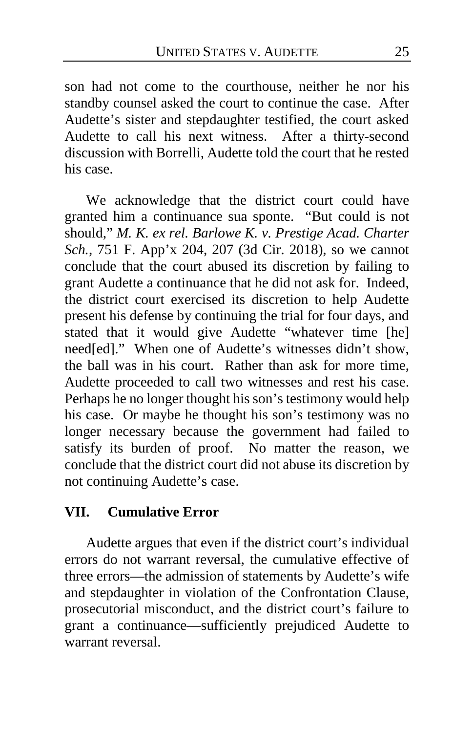son had not come to the courthouse, neither he nor his standby counsel asked the court to continue the case. After Audette's sister and stepdaughter testified, the court asked Audette to call his next witness. After a thirty-second discussion with Borrelli, Audette told the court that he rested his case.

We acknowledge that the district court could have granted him a continuance sua sponte. "But could is not should," *M. K. ex rel. Barlowe K. v. Prestige Acad. Charter Sch.*, 751 F. App'x 204, 207 (3d Cir. 2018), so we cannot conclude that the court abused its discretion by failing to grant Audette a continuance that he did not ask for. Indeed, the district court exercised its discretion to help Audette present his defense by continuing the trial for four days, and stated that it would give Audette "whatever time [he] need[ed]." When one of Audette's witnesses didn't show, the ball was in his court. Rather than ask for more time, Audette proceeded to call two witnesses and rest his case. Perhaps he no longer thought his son's testimony would help his case. Or maybe he thought his son's testimony was no longer necessary because the government had failed to satisfy its burden of proof. No matter the reason, we conclude that the district court did not abuse its discretion by not continuing Audette's case.

### **VII. Cumulative Error**

Audette argues that even if the district court's individual errors do not warrant reversal, the cumulative effective of three errors—the admission of statements by Audette's wife and stepdaughter in violation of the Confrontation Clause, prosecutorial misconduct, and the district court's failure to grant a continuance—sufficiently prejudiced Audette to warrant reversal.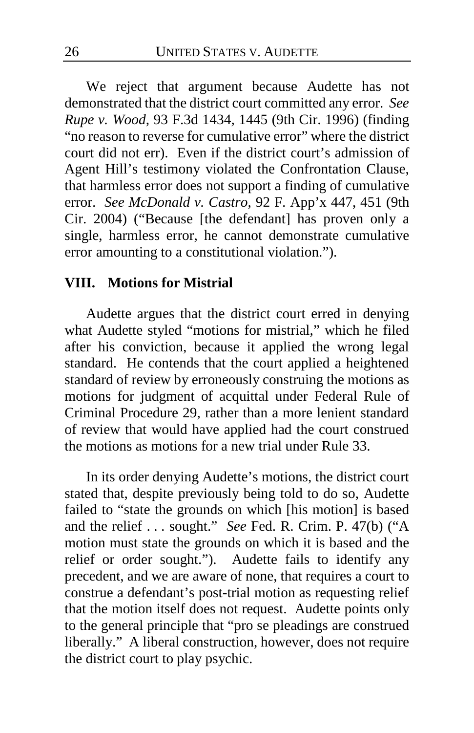We reject that argument because Audette has not demonstrated that the district court committed any error. *See Rupe v. Wood*, 93 F.3d 1434, 1445 (9th Cir. 1996) (finding "no reason to reverse for cumulative error" where the district court did not err). Even if the district court's admission of Agent Hill's testimony violated the Confrontation Clause, that harmless error does not support a finding of cumulative error. *See McDonald v. Castro*, 92 F. App'x 447, 451 (9th Cir. 2004) ("Because [the defendant] has proven only a single, harmless error, he cannot demonstrate cumulative error amounting to a constitutional violation.").

#### **VIII. Motions for Mistrial**

Audette argues that the district court erred in denying what Audette styled "motions for mistrial," which he filed after his conviction, because it applied the wrong legal standard. He contends that the court applied a heightened standard of review by erroneously construing the motions as motions for judgment of acquittal under Federal Rule of Criminal Procedure 29, rather than a more lenient standard of review that would have applied had the court construed the motions as motions for a new trial under Rule 33.

In its order denying Audette's motions, the district court stated that, despite previously being told to do so, Audette failed to "state the grounds on which [his motion] is based and the relief . . . sought." *See* Fed. R. Crim. P. 47(b) ("A motion must state the grounds on which it is based and the relief or order sought."). Audette fails to identify any precedent, and we are aware of none, that requires a court to construe a defendant's post-trial motion as requesting relief that the motion itself does not request. Audette points only to the general principle that "pro se pleadings are construed liberally." A liberal construction, however, does not require the district court to play psychic.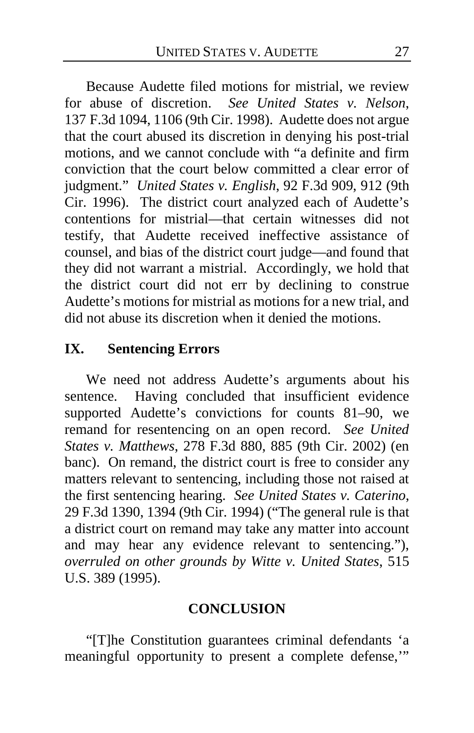Because Audette filed motions for mistrial, we review for abuse of discretion. *See United States v. Nelson*, 137 F.3d 1094, 1106 (9th Cir. 1998). Audette does not argue that the court abused its discretion in denying his post-trial motions, and we cannot conclude with "a definite and firm conviction that the court below committed a clear error of judgment." *United States v. English*, 92 F.3d 909, 912 (9th Cir. 1996). The district court analyzed each of Audette's contentions for mistrial—that certain witnesses did not testify, that Audette received ineffective assistance of counsel, and bias of the district court judge—and found that they did not warrant a mistrial. Accordingly, we hold that the district court did not err by declining to construe Audette's motions for mistrial as motions for a new trial, and did not abuse its discretion when it denied the motions.

### **IX. Sentencing Errors**

We need not address Audette's arguments about his sentence. Having concluded that insufficient evidence supported Audette's convictions for counts 81–90, we remand for resentencing on an open record. *See United States v. Matthews*, 278 F.3d 880, 885 (9th Cir. 2002) (en banc). On remand, the district court is free to consider any matters relevant to sentencing, including those not raised at the first sentencing hearing. *See United States v. Caterino*, 29 F.3d 1390, 1394 (9th Cir. 1994) ("The general rule is that a district court on remand may take any matter into account and may hear any evidence relevant to sentencing."), *overruled on other grounds by Witte v. United States*, 515 U.S. 389 (1995).

#### **CONCLUSION**

"[T]he Constitution guarantees criminal defendants 'a meaningful opportunity to present a complete defense,'"